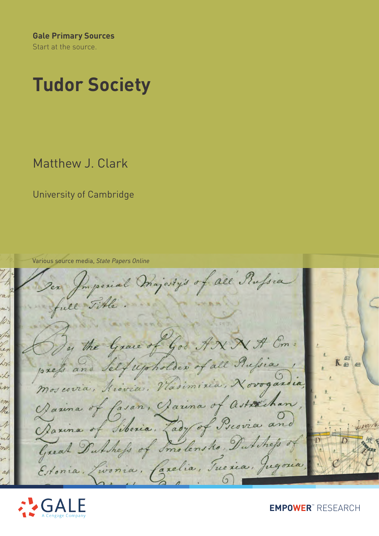**Gale Primary Sources** Start at the source.

# **Tudor Society**

Matthew J. Clark

University of Cambridge

Various source media, *State Papers Online*

mperial majesty's of all Russia ull by the Grace of God ANNA Em: res  $K^{\text{a}}_{\text{a}}$ press and Self upholder of all Russia  $\measuredangle_7$ Mos covia, Kiovia, Vadimiria, Novogardia, in Darina of fasan, Darina of astrachan, the Davina of Siberia. Lady of Previa and ul Great Dutchefs of Smolensko, Dutchess of Etonia, Livonia, Carelia, Tueria, Jugoria



**EMPOWER**™ RESEARCH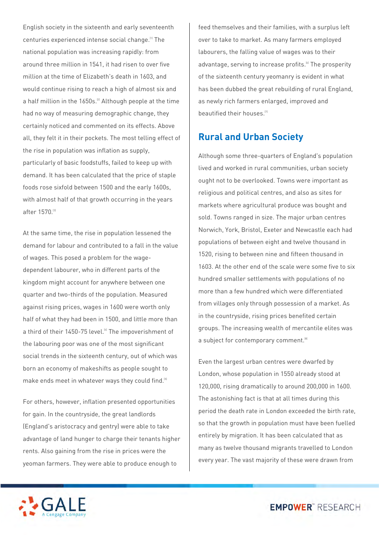English society in the sixteenth and early seventeenth centuries experienced intense social change.[1] The national population was increasing rapidly: from around three million in 1541, it had risen to over five million at the time of Elizabeth's death in 1603, and would continue rising to reach a high of almost six and a half million in the 1650s.<sup>[2]</sup> Although people at the time had no way of measuring demographic change, they certainly noticed and commented on its effects. Above all, they felt it in their pockets. The most telling effect of the rise in population was inflation as supply, particularly of basic foodstuffs, failed to keep up with demand. It has been calculated that the price of staple foods rose sixfold between 1500 and the early 1600s, with almost half of that growth occurring in the years after 1570.[3]

At the same time, the rise in population lessened the demand for labour and contributed to a fall in the value of wages. This posed a problem for the wagedependent labourer, who in different parts of the kingdom might account for anywhere between one quarter and two-thirds of the population. Measured against rising prices, wages in 1600 were worth only half of what they had been in 1500, and little more than a third of their 1450-75 level.<sup>[4]</sup> The impoverishment of the labouring poor was one of the most significant social trends in the sixteenth century, out of which was born an economy of makeshifts as people sought to make ends meet in whatever ways they could find.<sup>[5]</sup>

For others, however, inflation presented opportunities for gain. In the countryside, the great landlords (England's aristocracy and gentry) were able to take advantage of land hunger to charge their tenants higher rents. Also gaining from the rise in prices were the yeoman farmers. They were able to produce enough to

feed themselves and their families, with a surplus left over to take to market. As many farmers employed labourers, the falling value of wages was to their advantage, serving to increase profits.<sup>[6]</sup> The prosperity of the sixteenth century yeomanry is evident in what has been dubbed the great rebuilding of rural England, as newly rich farmers enlarged, improved and beautified their houses.<sup>[7]</sup>

#### **Rural and Urban Society**

Although some three-quarters of England's population lived and worked in rural communities, urban society ought not to be overlooked. Towns were important as religious and political centres, and also as sites for markets where agricultural produce was bought and sold. Towns ranged in size. The major urban centres Norwich, York, Bristol, Exeter and Newcastle each had populations of between eight and twelve thousand in 1520, rising to between nine and fifteen thousand in 1603. At the other end of the scale were some five to six hundred smaller settlements with populations of no more than a few hundred which were differentiated from villages only through possession of a market. As in the countryside, rising prices benefited certain groups. The increasing wealth of mercantile elites was a subject for contemporary comment.<sup>[8]</sup>

Even the largest urban centres were dwarfed by London, whose population in 1550 already stood at 120,000, rising dramatically to around 200,000 in 1600. The astonishing fact is that at all times during this period the death rate in London exceeded the birth rate, so that the growth in population must have been fuelled entirely by migration. It has been calculated that as many as twelve thousand migrants travelled to London every year. The vast majority of these were drawn from



**EMPOWER**" RESEARCH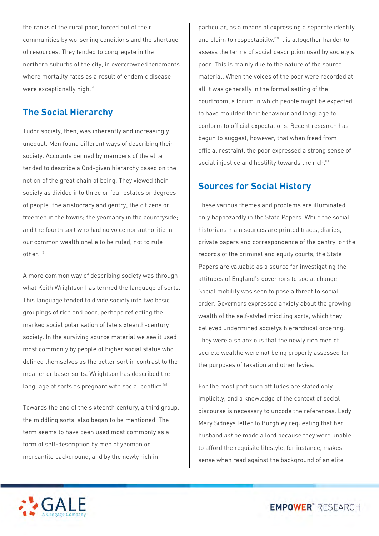the ranks of the rural poor, forced out of their communities by worsening conditions and the shortage of resources. They tended to congregate in the northern suburbs of the city, in overcrowded tenements where mortality rates as a result of endemic disease were exceptionally high.<sup>[9]</sup>

### **The Social Hierarchy**

Tudor society, then, was inherently and increasingly unequal. Men found different ways of describing their society. Accounts penned by members of the elite tended to describe a God-given hierarchy based on the notion of the great chain of being. They viewed their society as divided into three or four estates or degrees of people: the aristocracy and gentry; the citizens or freemen in the towns; the yeomanry in the countryside; and the fourth sort who had no voice nor authoritie in our common wealth onelie to be ruled, not to rule other.[10]

A more common way of describing society was through what Keith Wrightson has termed the language of sorts. This language tended to divide society into two basic groupings of rich and poor, perhaps reflecting the marked social polarisation of late sixteenth-century society. In the surviving source material we see it used most commonly by people of higher social status who defined themselves as the better sort in contrast to the meaner or baser sorts. Wrightson has described the language of sorts as pregnant with social conflict.<sup>[11]</sup>

Towards the end of the sixteenth century, a third group, the middling sorts, also began to be mentioned. The term seems to have been used most commonly as a form of self-description by men of yeoman or mercantile background, and by the newly rich in

particular, as a means of expressing a separate identity and claim to respectability.<sup>[12]</sup> It is altogether harder to assess the terms of social description used by society's poor. This is mainly due to the nature of the source material. When the voices of the poor were recorded at all it was generally in the formal setting of the courtroom, a forum in which people might be expected to have moulded their behaviour and language to conform to official expectations. Recent research has begun to suggest, however, that when freed from official restraint, the poor expressed a strong sense of social injustice and hostility towards the rich.<sup>[13]</sup>

#### **Sources for Social History**

These various themes and problems are illuminated only haphazardly in the State Papers. While the social historians main sources are printed tracts, diaries, private papers and correspondence of the gentry, or the records of the criminal and equity courts, the State Papers are valuable as a source for investigating the attitudes of England's governors to social change. Social mobility was seen to pose a threat to social order. Governors expressed anxiety about the growing wealth of the self-styled middling sorts, which they believed undermined societys hierarchical ordering. They were also anxious that the newly rich men of secrete wealthe were not being properly assessed for the purposes of taxation and other levies.

For the most part such attitudes are stated only implicitly, and a knowledge of the context of social discourse is necessary to uncode the references. Lady Mary Sidneys letter to Burghley requesting that her husband *not* be made a lord because they were unable to afford the requisite lifestyle, for instance, makes sense when read against the background of an elite



**EMPOWER**" RESEARCH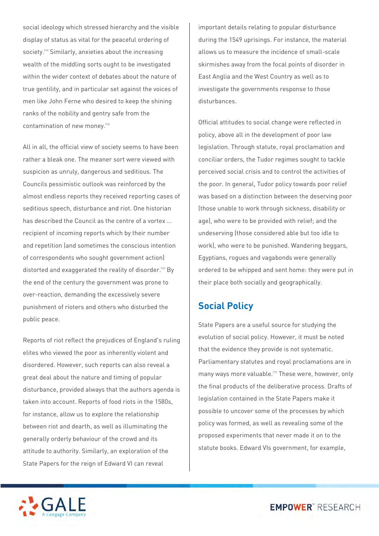social ideology which stressed hierarchy and the visible display of status as vital for the peaceful ordering of society.<sup>[14]</sup> Similarly, anxieties about the increasing wealth of the middling sorts ought to be investigated within the wider context of debates about the nature of true gentility, and in particular set against the voices of men like John Ferne who desired to keep the shining ranks of the nobility and gentry safe from the contamination of new money.[15]

All in all, the official view of society seems to have been rather a bleak one. The meaner sort were viewed with suspicion as unruly, dangerous and seditious. The Councils pessimistic outlook was reinforced by the almost endless reports they received reporting cases of seditious speech, disturbance and riot. One historian has described the Council as the centre of a vortex ... recipient of incoming reports which by their number and repetition (and sometimes the conscious intention of correspondents who sought government action) distorted and exaggerated the reality of disorder.<sup>[16]</sup> By the end of the century the government was prone to over-reaction, demanding the excessively severe punishment of rioters and others who disturbed the public peace.

Reports of riot reflect the prejudices of England's ruling elites who viewed the poor as inherently violent and disordered. However, such reports can also reveal a great deal about the nature and timing of popular disturbance, provided always that the authors agenda is taken into account. Reports of food riots in the 1580s, for instance, allow us to explore the relationship between riot and dearth, as well as illuminating the generally orderly behaviour of the crowd and its attitude to authority. Similarly, an exploration of the State Papers for the reign of Edward VI can reveal

important details relating to popular disturbance during the 1549 uprisings. For instance, the material allows us to measure the incidence of small-scale skirmishes away from the focal points of disorder in East Anglia and the West Country as well as to investigate the governments response to those disturbances.

Official attitudes to social change were reflected in policy, above all in the development of poor law legislation. Through statute, royal proclamation and conciliar orders, the Tudor regimes sought to tackle perceived social crisis and to control the activities of the poor. In general, Tudor policy towards poor relief was based on a distinction between the deserving poor (those unable to work through sickness, disability or age), who were to be provided with relief; and the undeserving (those considered able but too idle to work), who were to be punished. Wandering beggars, Egyptians, rogues and vagabonds were generally ordered to be whipped and sent home: they were put in their place both socially and geographically.

#### **Social Policy**

State Papers are a useful source for studying the evolution of social policy. However, it must be noted that the evidence they provide is not systematic. Parliamentary statutes and royal proclamations are in many ways more valuable.<sup>[17]</sup> These were, however, only the final products of the deliberative process. Drafts of legislation contained in the State Papers make it possible to uncover some of the processes by which policy was formed, as well as revealing some of the proposed experiments that never made it on to the statute books. Edward VIs government, for example,

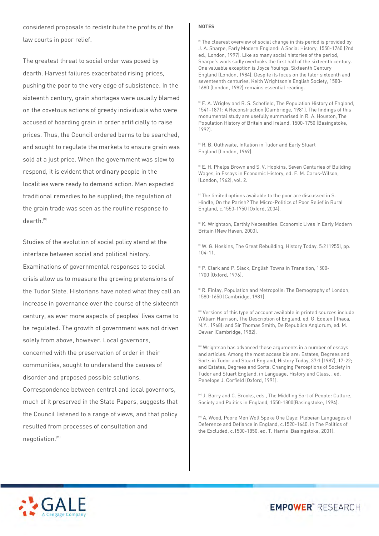considered proposals to redistribute the profits of the law courts in poor relief.

The greatest threat to social order was posed by dearth. Harvest failures exacerbated rising prices, pushing the poor to the very edge of subsistence. In the sixteenth century, grain shortages were usually blamed on the covetous actions of greedy individuals who were accused of hoarding grain in order artificially to raise prices. Thus, the Council ordered barns to be searched, and sought to regulate the markets to ensure grain was sold at a just price. When the government was slow to respond, it is evident that ordinary people in the localities were ready to demand action. Men expected traditional remedies to be supplied; the regulation of the grain trade was seen as the routine response to dearth<sup>[18]</sup>

Studies of the evolution of social policy stand at the interface between social and political history. Examinations of governmental responses to social crisis allow us to measure the growing pretensions of the Tudor State. Historians have noted what they call an increase in governance over the course of the sixteenth century, as ever more aspects of peoples' lives came to be regulated. The growth of government was not driven solely from above, however. Local governors, concerned with the preservation of order in their communities, sought to understand the causes of disorder and proposed possible solutions.

Correspondence between central and local governors, much of it preserved in the State Papers, suggests that the Council listened to a range of views, and that policy resulted from processes of consultation and negotiation.<sup>[19]</sup>

#### **NOTES**

<sup>[\[1\]](http://go.galegroup.com/mss/researchTools.do?userGroupName=webdemo&prodId=SPOL#_ednref1)</sup> The clearest overview of social change in this period is provided by J. A. Sharpe, Early Modern England: A Social History, 1550-1760 (2nd ed., London, 1997). Like so many social histories of the period, Sharpe's work sadly overlooks the first half of the sixteenth century. One valuable exception is Joyce Youings, Sixteenth Century England (London, 1984). Despite its focus on the later sixteenth and seventeenth centuries, Keith Wrightson's English Society, 1580- 1680 (London, 1982) remains essential reading.

 $[2]$  E. A. Wrigley and R. S. Schofield, The Population History of England, 1541-1871: A Reconstruction (Cambridge, 1981). The findings of this monumental study are usefully summarised in R. A. Houston, The Population History of Britain and Ireland, 1500-1750 (Basingstoke, 1992).

<sup>[\[3\]](http://go.galegroup.com/mss/researchTools.do?userGroupName=webdemo&prodId=SPOL#_ednref3)</sup> R. B. Outhwaite, Inflation in Tudor and Early Stuart England (London, 1969).

<sup>[\[4\]](http://go.galegroup.com/mss/researchTools.do?userGroupName=webdemo&prodId=SPOL#_ednref4)</sup> E. H. Phelps Brown and S. V. Hopkins, Seven Centuries of Building Wages, in Essays in Economic History, ed. E. M. Carus-Wilson, (London, 1962), vol. 2.

 $5$  The limited options available to the poor are discussed in S. Hindle, On the Parish? The Micro-Politics of Poor Relief in Rural England, c.1550-1750 (Oxford, 2004).

 $69$  K. Wrightson, Earthly Necessities: Economic Lives in Early Modern Britain (New Haven, 2000).

[\[7\]](http://go.galegroup.com/mss/researchTools.do?userGroupName=webdemo&prodId=SPOL#_ednref7) W. G. Hoskins, The Great Rebuilding, History Today, 5:2 (1955), pp. 104-11.

 $[8]$  P. Clark and P. Slack, English Towns in Transition, 1500-1700 (Oxford, 1976).

[\[9\]](http://go.galegroup.com/mss/researchTools.do?userGroupName=webdemo&prodId=SPOL#_ednref9) R. Finlay, Population and Metropolis: The Demography of London, 1580-1650 (Cambridge, 1981).

[\[10\]](http://go.galegroup.com/mss/researchTools.do?userGroupName=webdemo&prodId=SPOL#_ednref10) Versions of this type of account available in printed sources include William Harrison, The Description of England, ed. G. Edelen (Ithaca, N.Y., 1968); and Sir Thomas Smith, De Republica Anglorum, ed. M. Dewar (Cambridge, 1982).

 $1111$  Wrightson has advanced these arguments in a number of essays and articles. Among the most accessible are: Estates, Degrees and Sorts in Tudor and Stuart England, History Today, 37:1 (1987), 17-22; and Estates, Degrees and Sorts: Changing Perceptions of Society in Tudor and Stuart England, in Language, History and Class, , ed. Penelope J. Corfield (Oxford, 1991).

[\[12\]](http://go.galegroup.com/mss/researchTools.do?userGroupName=webdemo&prodId=SPOL#_ednref12) J. Barry and C. Brooks, eds., The Middling Sort of People: Culture, Society and Politics in England, 1550-1800(Basingstoke, 1994).

[\[13\]](http://go.galegroup.com/mss/researchTools.do?userGroupName=webdemo&prodId=SPOL#_ednref13) A. Wood, Poore Men Woll Speke One Daye: Plebeian Languages of Deference and Defiance in England, c.1520-1640, in The Politics of the Excluded, c.1500-1850, ed. T. Harris (Basingstoke, 2001).



**EMPOWER**" RESEARCH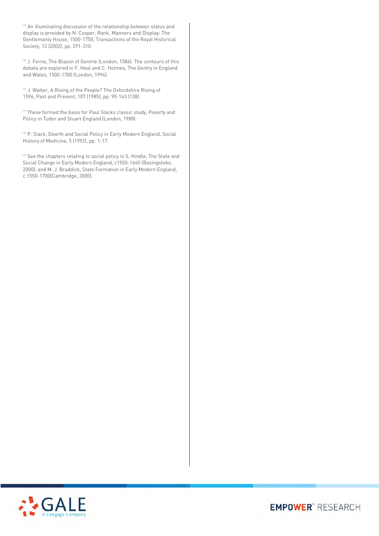$114$  An illuminating discussion of the relationship between status and display is provided by N. Cooper, Rank, Manners and Display: The Gentlemanly House, 1500-1750, Transactions of the Royal Historical Society, 12 (2002), pp. 291-310.

[\[15\]](http://go.galegroup.com/mss/researchTools.do?userGroupName=webdemo&prodId=SPOL#_ednref15) J. Ferne, The Blazon of Gentrie (London, 1586). The contours of this debate are explored in F. Heal and C. Holmes, The Gentry in England and Wales, 1500-1700 (London, 1994).

[\[16\]](http://go.galegroup.com/mss/researchTools.do?userGroupName=webdemo&prodId=SPOL#_ednref16) J. Walter, A Rising of the People? The Oxfordshire Rising of 1596, Past and Present, 107 (1985), pp. 90-143 (138).

 $117$  These formed the basis for Paul Slacks classic study, Poverty and Policy in Tudor and Stuart England (London, 1988).

[\[18\]](http://go.galegroup.com/mss/researchTools.do?userGroupName=webdemo&prodId=SPOL#_ednref18) P. Slack, Dearth and Social Policy in Early Modern England, Social History of Medicine, 5 (1992), pp. 1-17.

 $199$  See the chapters relating to social policy in S. Hindle, The State and Social Change in Early Modern England, c1550-1640 (Basingstoke, 2000); and M. J. Braddick, State Formation in Early Modern England, c.1550-1700(Cambridge, 2000).